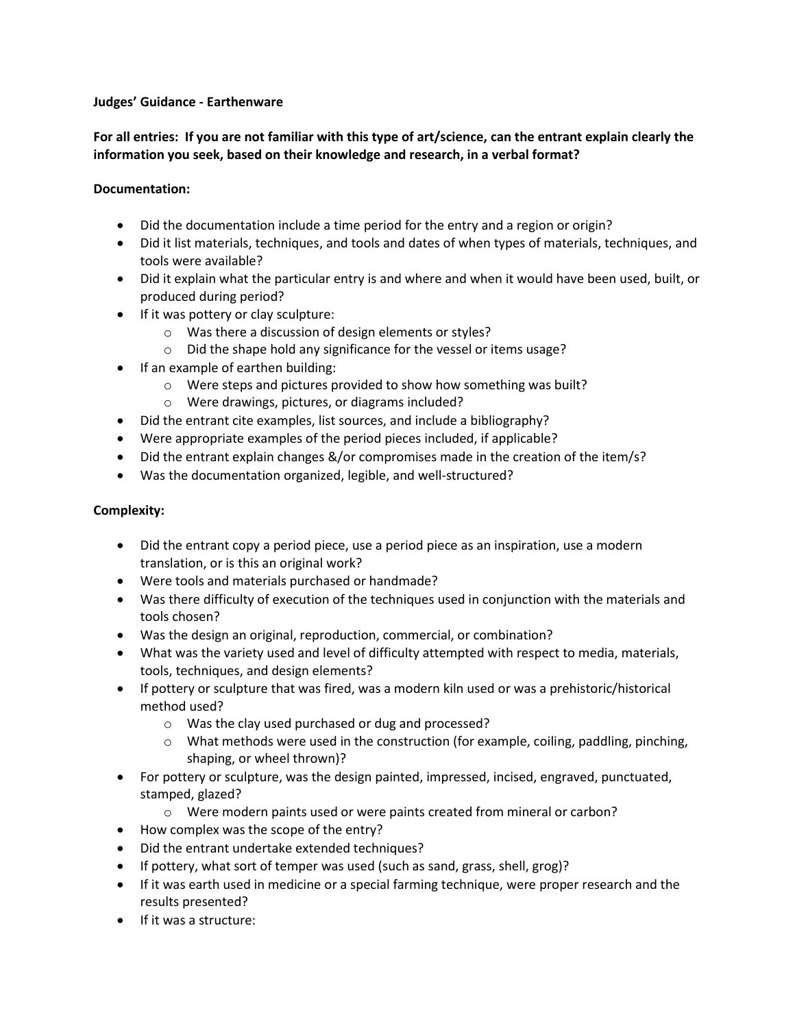#### **Judges' Guidance - Earthenware**

**For all entries: If you are not familiar with this type of art/science, can the entrant explain clearly the information you seek, based on their knowledge and research, in a verbal format?** 

# **Documentation:**

- Did the documentation include a time period for the entry and a region or origin?
- Did it list materials, techniques, and tools and dates of when types of materials, techniques, and tools were available?
- Did it explain what the particular entry is and where and when it would have been used, built, or produced during period?
- If it was pottery or clay sculpture:
	- o Was there a discussion of design elements or styles?
	- o Did the shape hold any significance for the vessel or items usage?
- If an example of earthen building:
	- o Were steps and pictures provided to show how something was built?
	- o Were drawings, pictures, or diagrams included?
- Did the entrant cite examples, list sources, and include a bibliography?
- Were appropriate examples of the period pieces included, if applicable?
- Did the entrant explain changes &/or compromises made in the creation of the item/s?
- Was the documentation organized, legible, and well-structured?

# **Complexity:**

- Did the entrant copy a period piece, use a period piece as an inspiration, use a modern translation, or is this an original work?
- Were tools and materials purchased or handmade?
- Was there difficulty of execution of the techniques used in conjunction with the materials and tools chosen?
- Was the design an original, reproduction, commercial, or combination?
- What was the variety used and level of difficulty attempted with respect to media, materials, tools, techniques, and design elements?
- If pottery or sculpture that was fired, was a modern kiln used or was a prehistoric/historical method used?
	- o Was the clay used purchased or dug and processed?
	- $\circ$  What methods were used in the construction (for example, coiling, paddling, pinching, shaping, or wheel thrown)?
- For pottery or sculpture, was the design painted, impressed, incised, engraved, punctuated, stamped, glazed?
	- o Were modern paints used or were paints created from mineral or carbon?
- How complex was the scope of the entry?
- Did the entrant undertake extended techniques?
- If pottery, what sort of temper was used (such as sand, grass, shell, grog)?
- If it was earth used in medicine or a special farming technique, were proper research and the results presented?
- If it was a structure: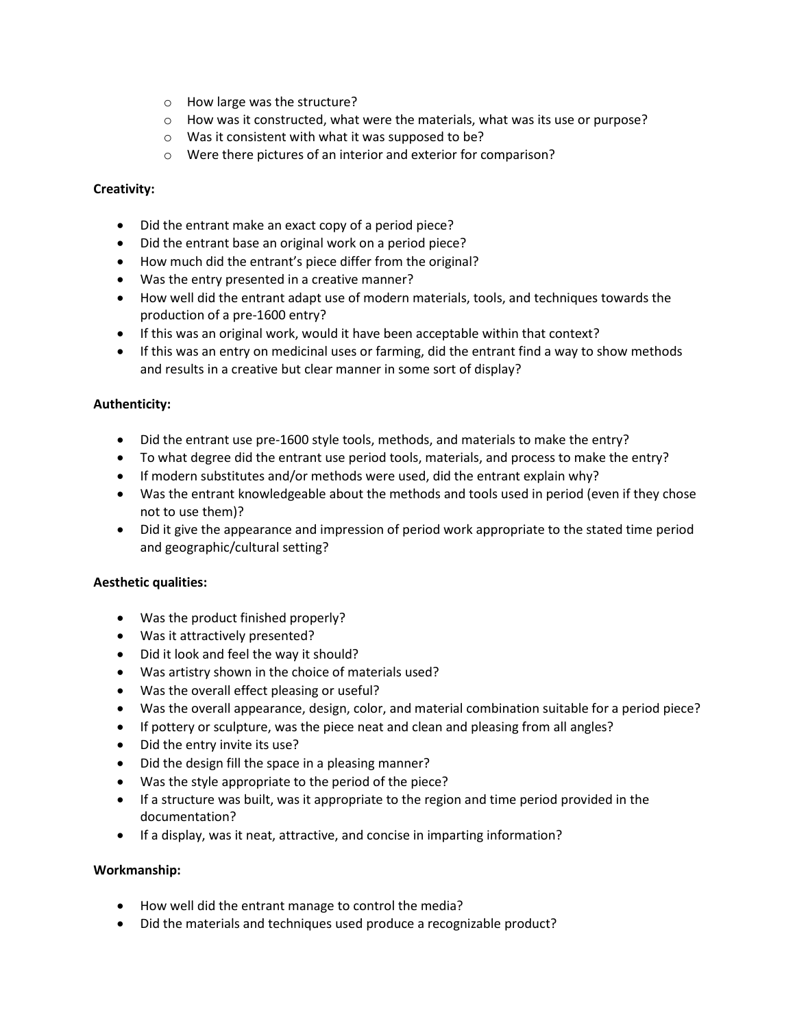- o How large was the structure?
- o How was it constructed, what were the materials, what was its use or purpose?
- o Was it consistent with what it was supposed to be?
- o Were there pictures of an interior and exterior for comparison?

# **Creativity:**

- Did the entrant make an exact copy of a period piece?
- Did the entrant base an original work on a period piece?
- How much did the entrant's piece differ from the original?
- Was the entry presented in a creative manner?
- How well did the entrant adapt use of modern materials, tools, and techniques towards the production of a pre-1600 entry?
- If this was an original work, would it have been acceptable within that context?
- If this was an entry on medicinal uses or farming, did the entrant find a way to show methods and results in a creative but clear manner in some sort of display?

### **Authenticity:**

- Did the entrant use pre-1600 style tools, methods, and materials to make the entry?
- To what degree did the entrant use period tools, materials, and process to make the entry?
- If modern substitutes and/or methods were used, did the entrant explain why?
- Was the entrant knowledgeable about the methods and tools used in period (even if they chose not to use them)?
- Did it give the appearance and impression of period work appropriate to the stated time period and geographic/cultural setting?

#### **Aesthetic qualities:**

- Was the product finished properly?
- Was it attractively presented?
- Did it look and feel the way it should?
- Was artistry shown in the choice of materials used?
- Was the overall effect pleasing or useful?
- Was the overall appearance, design, color, and material combination suitable for a period piece?
- If pottery or sculpture, was the piece neat and clean and pleasing from all angles?
- Did the entry invite its use?
- Did the design fill the space in a pleasing manner?
- Was the style appropriate to the period of the piece?
- If a structure was built, was it appropriate to the region and time period provided in the documentation?
- If a display, was it neat, attractive, and concise in imparting information?

#### **Workmanship:**

- How well did the entrant manage to control the media?
- Did the materials and techniques used produce a recognizable product?